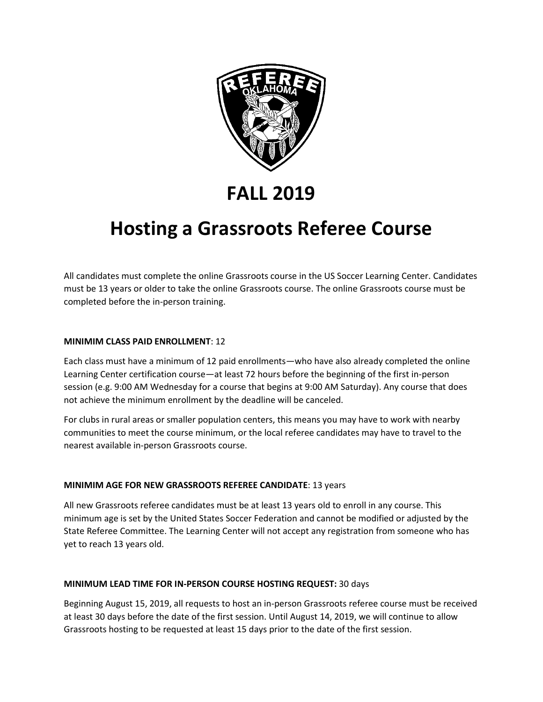

**FALL 2019**

# **Hosting a Grassroots Referee Course**

All candidates must complete the online Grassroots course in the US Soccer Learning Center. Candidates must be 13 years or older to take the online Grassroots course. The online Grassroots course must be completed before the in-person training.

### **MINIMIM CLASS PAID ENROLLMENT**: 12

Each class must have a minimum of 12 paid enrollments—who have also already completed the online Learning Center certification course—at least 72 hours before the beginning of the first in-person session (e.g. 9:00 AM Wednesday for a course that begins at 9:00 AM Saturday). Any course that does not achieve the minimum enrollment by the deadline will be canceled.

For clubs in rural areas or smaller population centers, this means you may have to work with nearby communities to meet the course minimum, or the local referee candidates may have to travel to the nearest available in-person Grassroots course.

## **MINIMIM AGE FOR NEW GRASSROOTS REFEREE CANDIDATE**: 13 years

All new Grassroots referee candidates must be at least 13 years old to enroll in any course. This minimum age is set by the United States Soccer Federation and cannot be modified or adjusted by the State Referee Committee. The Learning Center will not accept any registration from someone who has yet to reach 13 years old.

### **MINIMUM LEAD TIME FOR IN-PERSON COURSE HOSTING REQUEST:** 30 days

Beginning August 15, 2019, all requests to host an in-person Grassroots referee course must be received at least 30 days before the date of the first session. Until August 14, 2019, we will continue to allow Grassroots hosting to be requested at least 15 days prior to the date of the first session.